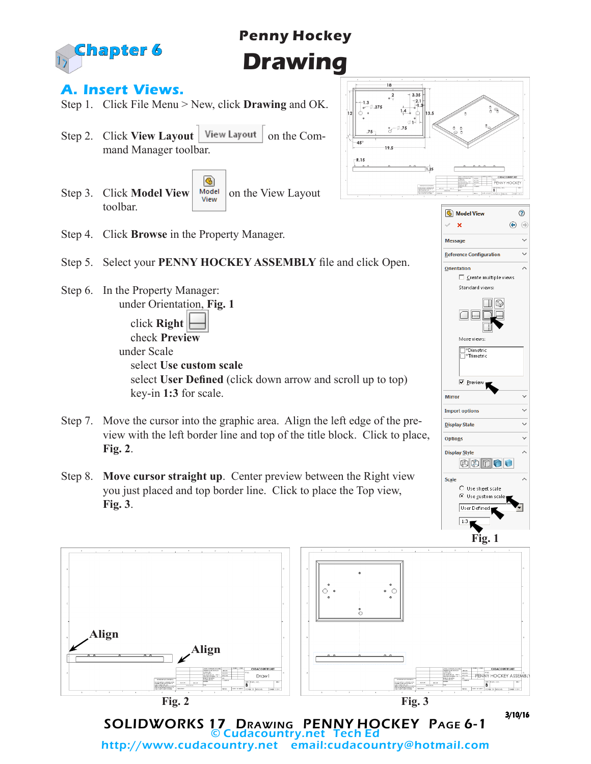

# **Penny Hockey Drawing**

#### **A. Insert Views.**

- Step 1. Click File Menu > New, click **Drawing** and OK.
- Step 2. Click **View Layout** | View Layout | on the Command Manager toolbar.
- ® Step 3. Click **Model View**  $\begin{array}{|c|c|c|}\n\hline\n\text{Weight} & \text{on the View Layout}\n\end{array}$ toolbar.



**6** Model View

 $\overline{\mathbf{x}}$ 

**Message** 

 $^{\circ}$  $\bigcirc$  $\odot$ 

Ų

Step 4. Click **Browse** in the Property Manager.

#### Step 5. Select your **PENNY HOCKEY ASSEMBLY** file and click Open.

Step 6. In the Property Manager: under Orientation, **Fig. 1**

 click **Right** check **Preview** under Scale select **Use custom scale** select **User Defined** (click down arrow and scroll up to top) key-in **1:3** for scale.

- Step 7. Move the cursor into the graphic area. Align the left edge of the preview with the left border line and top of the title block. Click to place, **Fig. 2**.
- Step 8. **Move cursor straight up**. Center preview between the Right view you just placed and top border line. Click to place the Top view, **Fig. 3**.



SOLIDWORKS 17 Drawing PENNY HOCKEY Page 6-1 © Cudacountry.net Tech Ed http://www.cudacountry.net email:cudacountry@hotmail.com

Reference Configuration Ü Orientation □ Create multiple views Standard views:  $\Box$ More views \*Dimetric \*Trimetric **▽** Preview Mirror **Import options** Ü

3/10/16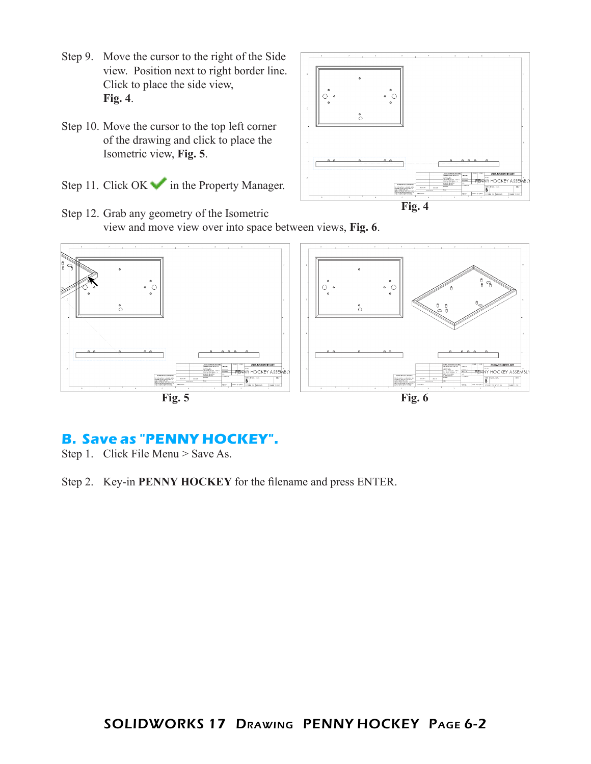- Step 9. Move the cursor to the right of the Side view. Position next to right border line. Click to place the side view, **Fig. 4**.
- Step 10. Move the cursor to the top left corner of the drawing and click to place the Isometric view, **Fig. 5**.
- Step 11. Click  $OK \rightarrow \infty$  in the Property Manager.



Step 12. Grab any geometry of the Isometric view and move view over into space between views, **Fig. 6**.



## **B. Save as "PENNY HOCKEY".**

Step 1. Click File Menu > Save As.

Step 2. Key-in **PENNY HOCKEY** for the filename and press ENTER.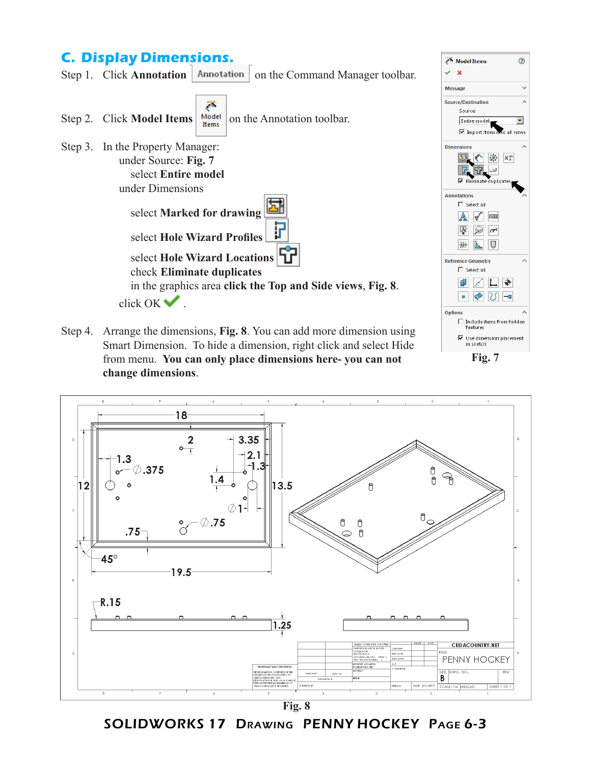### **C. Display Dimensions.**



Step 4. Arrange the dimensions, **Fig. 8**. You can add more dimension using Smart Dimension. To hide a dimension, right click and select Hide from menu. **You can only place dimensions here- you can not change dimensions**.



Model Items

⊙

 $\ddot{}$  $\lambda$ 

 $\overline{\phantom{a}}$ 

all views

 $X_x^{xx}$ 

Шø

**Fig. 7**



SOLIDWORKS 17 Drawing PENNY HOCKEY Page 6-3